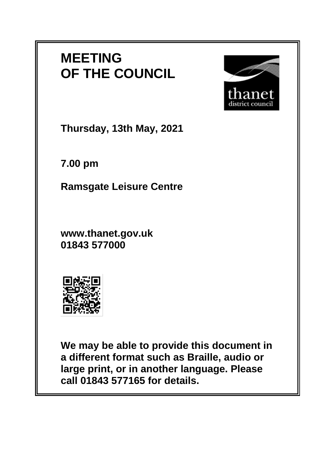## **MEETING OF THE COUNCIL**



**Thursday, 13th May, 2021**

**7.00 pm**

**Ramsgate Leisure Centre**

**www.thanet.gov.uk 01843 577000**



**We may be able to provide this document in a different format such as Braille, audio or large print, or in another language. Please call 01843 577165 for details.**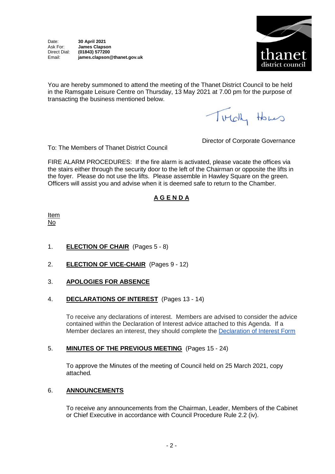

You are hereby summoned to attend the meeting of the Thanet District Council to be held in the Ramsgate Leisure Centre on Thursday, 13 May 2021 at 7.00 pm for the purpose of transacting the business mentioned below.

Turchy Homes

To: The Members of Thanet District Council

Director of Corporate Governance

FIRE ALARM PROCEDURES: If the fire alarm is activated, please vacate the offices via the stairs either through the security door to the left of the Chairman or opposite the lifts in the foyer. Please do not use the lifts. Please assemble in Hawley Square on the green. Officers will assist you and advise when it is deemed safe to return to the Chamber.

## **A G E N D A**

Item No

- 1. **ELECTION OF CHAIR** (Pages 5 8)
- 2. **ELECTION OF VICE-CHAIR** (Pages 9 12)
- 3. **APOLOGIES FOR ABSENCE**
- 4. **DECLARATIONS OF INTEREST** (Pages 13 14)

To receive any declarations of interest. Members are advised to consider the advice contained within the Declaration of Interest advice attached to this Agenda. If a Member declares an interest, they should complete the [Declaration of Interest Form](https://docs.google.com/forms/d/e/1FAIpQLSdYy7shF1kh6tvdSh3acxVRm70cKPLFkRBFNyVx2TgejRcm4w/viewform?usp=sf_link)

## 5. **MINUTES OF THE PREVIOUS MEETING** (Pages 15 - 24)

To approve the Minutes of the meeting of Council held on 25 March 2021, copy attached*.*

## 6. **ANNOUNCEMENTS**

To receive any announcements from the Chairman, Leader, Members of the Cabinet or Chief Executive in accordance with Council Procedure Rule 2.2 (iv).